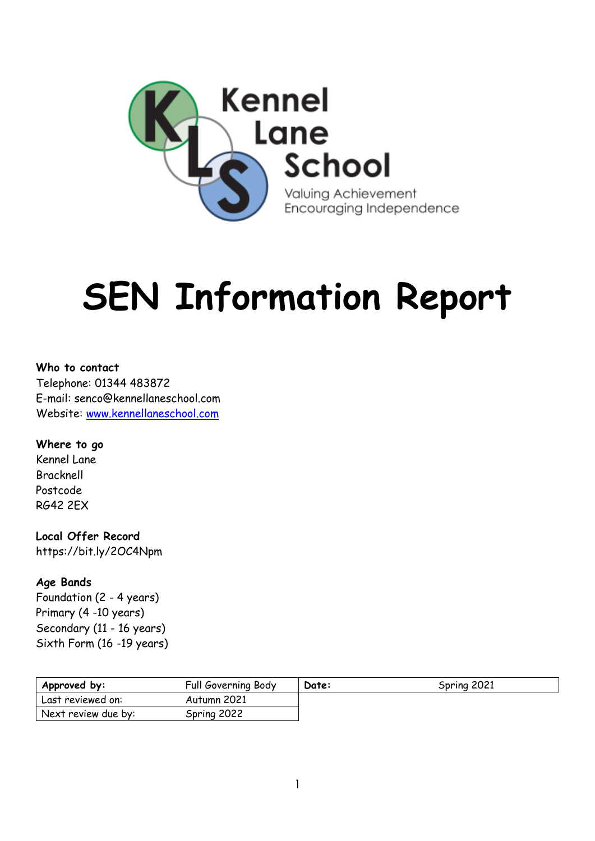

# **SEN Information Report**

**Who to contact** Telephone: 01344 483872 E-mail: senco@kennellaneschool.com Website: [www.kennellaneschool.com](http://www.kennellaneschool.com/)

**Where to go** Kennel Lane Bracknell Postcode RG42 2EX

**Local Offer Record** https://bit.ly/2OC4Npm

**Age Bands** Foundation (2 - 4 years) Primary (4 -10 years) Secondary (11 - 16 years) Sixth Form (16 -19 years)

| Approved by:        | Full Governing Body | Date: | Spring 2021 |
|---------------------|---------------------|-------|-------------|
| Last reviewed on:   | Autumn 2021         |       |             |
| Next review due by: | Spring 2022         |       |             |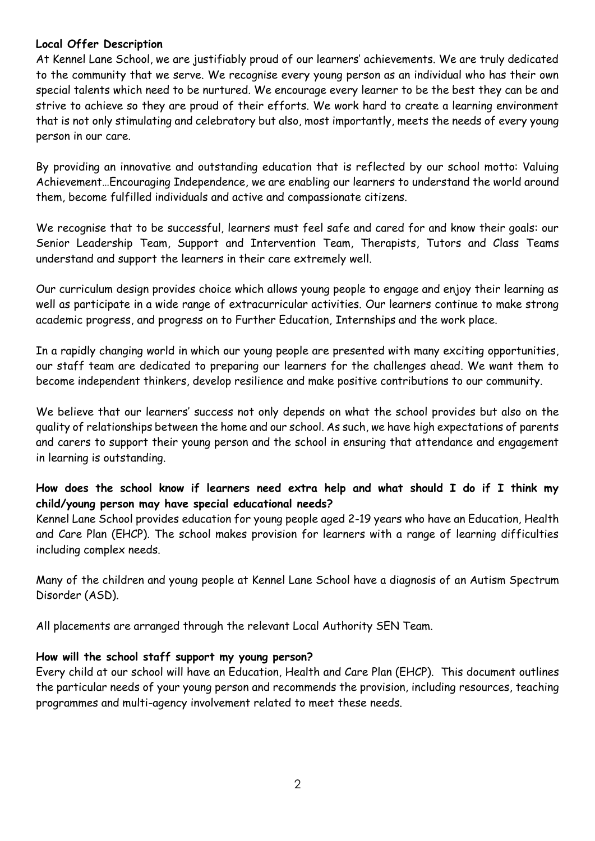## **Local Offer Description**

At Kennel Lane School, we are justifiably proud of our learners' achievements. We are truly dedicated to the community that we serve. We recognise every young person as an individual who has their own special talents which need to be nurtured. We encourage every learner to be the best they can be and strive to achieve so they are proud of their efforts. We work hard to create a learning environment that is not only stimulating and celebratory but also, most importantly, meets the needs of every young person in our care.

By providing an innovative and outstanding education that is reflected by our school motto: Valuing Achievement…Encouraging Independence, we are enabling our learners to understand the world around them, become fulfilled individuals and active and compassionate citizens.

We recognise that to be successful, learners must feel safe and cared for and know their goals: our Senior Leadership Team, Support and Intervention Team, Therapists, Tutors and Class Teams understand and support the learners in their care extremely well.

Our curriculum design provides choice which allows young people to engage and enjoy their learning as well as participate in a wide range of extracurricular activities. Our learners continue to make strong academic progress, and progress on to Further Education, Internships and the work place.

In a rapidly changing world in which our young people are presented with many exciting opportunities, our staff team are dedicated to preparing our learners for the challenges ahead. We want them to become independent thinkers, develop resilience and make positive contributions to our community.

We believe that our learners' success not only depends on what the school provides but also on the quality of relationships between the home and our school. As such, we have high expectations of parents and carers to support their young person and the school in ensuring that attendance and engagement in learning is outstanding.

# **How does the school know if learners need extra help and what should I do if I think my child/young person may have special educational needs?**

Kennel Lane School provides education for young people aged 2-19 years who have an Education, Health and Care Plan (EHCP). The school makes provision for learners with a range of learning difficulties including complex needs.

Many of the children and young people at Kennel Lane School have a diagnosis of an Autism Spectrum Disorder (ASD).

All placements are arranged through the relevant Local Authority SEN Team.

# **How will the school staff support my young person?**

Every child at our school will have an Education, Health and Care Plan (EHCP). This document outlines the particular needs of your young person and recommends the provision, including resources, teaching programmes and multi-agency involvement related to meet these needs.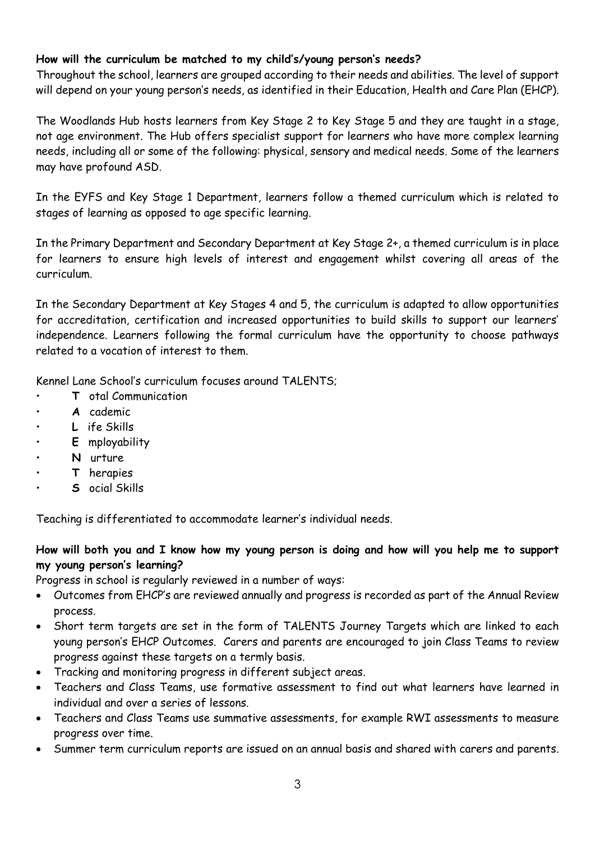# **How will the curriculum be matched to my child's/young person's needs?**

Throughout the school, learners are grouped according to their needs and abilities. The level of support will depend on your young person's needs, as identified in their Education, Health and Care Plan (EHCP).

The Woodlands Hub hosts learners from Key Stage 2 to Key Stage 5 and they are taught in a stage, not age environment. The Hub offers specialist support for learners who have more complex learning needs, including all or some of the following: physical, sensory and medical needs. Some of the learners may have profound ASD.

In the EYFS and Key Stage 1 Department, learners follow a themed curriculum which is related to stages of learning as opposed to age specific learning.

In the Primary Department and Secondary Department at Key Stage 2+, a themed curriculum is in place for learners to ensure high levels of interest and engagement whilst covering all areas of the curriculum.

In the Secondary Department at Key Stages 4 and 5, the curriculum is adapted to allow opportunities for accreditation, certification and increased opportunities to build skills to support our learners' independence. Learners following the formal curriculum have the opportunity to choose pathways related to a vocation of interest to them.

Kennel Lane School's curriculum focuses around TALENTS;

- **T** otal Communication
- **A** cademic
- **L** ife Skills
- **E** mployability
- **N** urture
- **T** herapies
- **S** ocial Skills

Teaching is differentiated to accommodate learner's individual needs.

# **How will both you and I know how my young person is doing and how will you help me to support my young person's learning?**

Progress in school is regularly reviewed in a number of ways:

- Outcomes from EHCP's are reviewed annually and progress is recorded as part of the Annual Review process.
- Short term targets are set in the form of TALENTS Journey Targets which are linked to each young person's EHCP Outcomes. Carers and parents are encouraged to join Class Teams to review progress against these targets on a termly basis.
- Tracking and monitoring progress in different subject areas.
- Teachers and Class Teams, use formative assessment to find out what learners have learned in individual and over a series of lessons.
- Teachers and Class Teams use summative assessments, for example RWI assessments to measure progress over time.
- Summer term curriculum reports are issued on an annual basis and shared with carers and parents.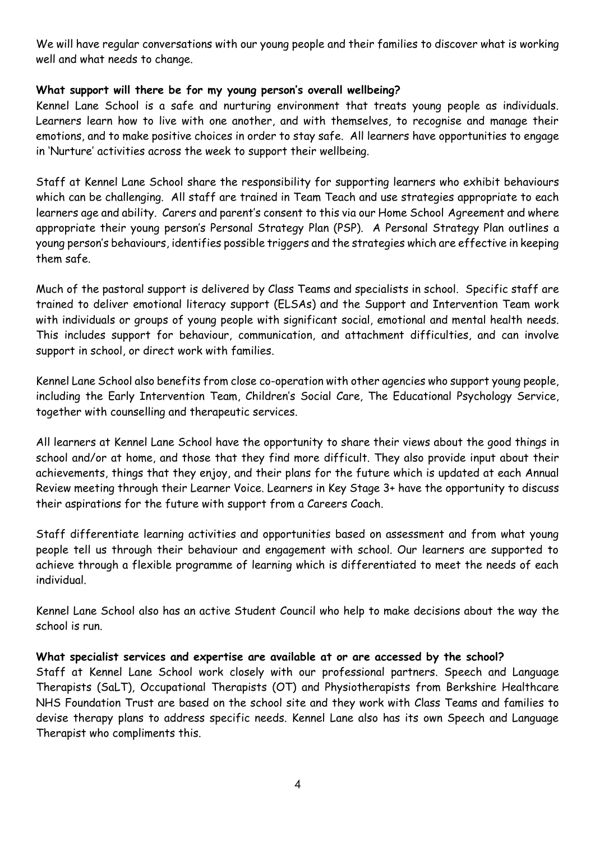We will have regular conversations with our young people and their families to discover what is working well and what needs to change.

# **What support will there be for my young person's overall wellbeing?**

Kennel Lane School is a safe and nurturing environment that treats young people as individuals. Learners learn how to live with one another, and with themselves, to recognise and manage their emotions, and to make positive choices in order to stay safe. All learners have opportunities to engage in 'Nurture' activities across the week to support their wellbeing.

Staff at Kennel Lane School share the responsibility for supporting learners who exhibit behaviours which can be challenging. All staff are trained in Team Teach and use strategies appropriate to each learners age and ability. Carers and parent's consent to this via our Home School Agreement and where appropriate their young person's Personal Strategy Plan (PSP). A Personal Strategy Plan outlines a young person's behaviours, identifies possible triggers and the strategies which are effective in keeping them safe.

Much of the pastoral support is delivered by Class Teams and specialists in school. Specific staff are trained to deliver emotional literacy support (ELSAs) and the Support and Intervention Team work with individuals or groups of young people with significant social, emotional and mental health needs. This includes support for behaviour, communication, and attachment difficulties, and can involve support in school, or direct work with families.

Kennel Lane School also benefits from close co-operation with other agencies who support young people, including the Early Intervention Team, Children's Social Care, The Educational Psychology Service, together with counselling and therapeutic services.

All learners at Kennel Lane School have the opportunity to share their views about the good things in school and/or at home, and those that they find more difficult. They also provide input about their achievements, things that they enjoy, and their plans for the future which is updated at each Annual Review meeting through their Learner Voice. Learners in Key Stage 3+ have the opportunity to discuss their aspirations for the future with support from a Careers Coach.

Staff differentiate learning activities and opportunities based on assessment and from what young people tell us through their behaviour and engagement with school. Our learners are supported to achieve through a flexible programme of learning which is differentiated to meet the needs of each individual.

Kennel Lane School also has an active Student Council who help to make decisions about the way the school is run.

#### **What specialist services and expertise are available at or are accessed by the school?**

Staff at Kennel Lane School work closely with our professional partners. Speech and Language Therapists (SaLT), Occupational Therapists (OT) and Physiotherapists from Berkshire Healthcare NHS Foundation Trust are based on the school site and they work with Class Teams and families to devise therapy plans to address specific needs. Kennel Lane also has its own Speech and Language Therapist who compliments this.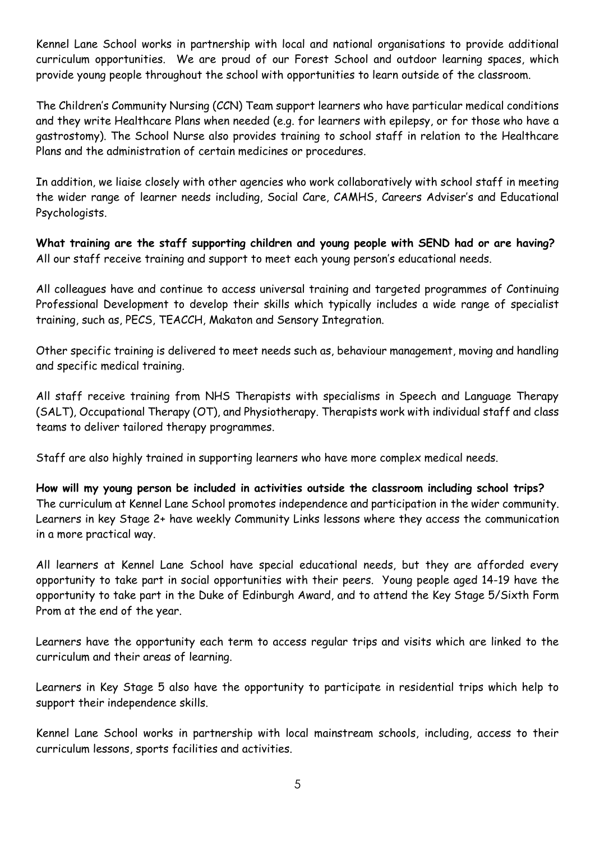Kennel Lane School works in partnership with local and national organisations to provide additional curriculum opportunities. We are proud of our Forest School and outdoor learning spaces, which provide young people throughout the school with opportunities to learn outside of the classroom.

The Children's Community Nursing (CCN) Team support learners who have particular medical conditions and they write Healthcare Plans when needed (e.g. for learners with epilepsy, or for those who have a gastrostomy). The School Nurse also provides training to school staff in relation to the Healthcare Plans and the administration of certain medicines or procedures.

In addition, we liaise closely with other agencies who work collaboratively with school staff in meeting the wider range of learner needs including, Social Care, CAMHS, Careers Adviser's and Educational Psychologists.

**What training are the staff supporting children and young people with SEND had or are having?** All our staff receive training and support to meet each young person's educational needs.

All colleagues have and continue to access universal training and targeted programmes of Continuing Professional Development to develop their skills which typically includes a wide range of specialist training, such as, PECS, TEACCH, Makaton and Sensory Integration.

Other specific training is delivered to meet needs such as, behaviour management, moving and handling and specific medical training.

All staff receive training from NHS Therapists with specialisms in Speech and Language Therapy (SALT), Occupational Therapy (OT), and Physiotherapy. Therapists work with individual staff and class teams to deliver tailored therapy programmes.

Staff are also highly trained in supporting learners who have more complex medical needs.

**How will my young person be included in activities outside the classroom including school trips?** The curriculum at Kennel Lane School promotes independence and participation in the wider community. Learners in key Stage 2+ have weekly Community Links lessons where they access the communication in a more practical way.

All learners at Kennel Lane School have special educational needs, but they are afforded every opportunity to take part in social opportunities with their peers. Young people aged 14-19 have the opportunity to take part in the Duke of Edinburgh Award, and to attend the Key Stage 5/Sixth Form Prom at the end of the year.

Learners have the opportunity each term to access regular trips and visits which are linked to the curriculum and their areas of learning.

Learners in Key Stage 5 also have the opportunity to participate in residential trips which help to support their independence skills.

Kennel Lane School works in partnership with local mainstream schools, including, access to their curriculum lessons, sports facilities and activities.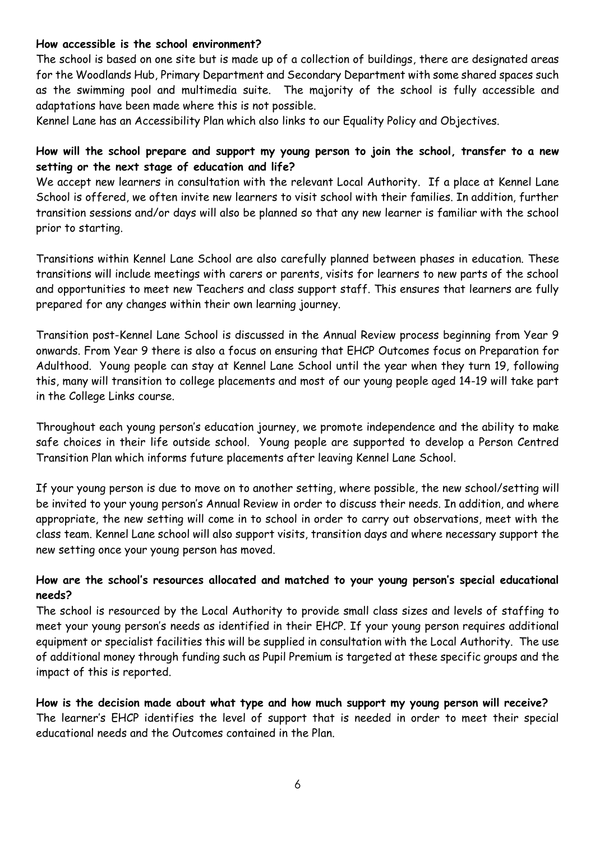#### **How accessible is the school environment?**

The school is based on one site but is made up of a collection of buildings, there are designated areas for the Woodlands Hub, Primary Department and Secondary Department with some shared spaces such as the swimming pool and multimedia suite. The majority of the school is fully accessible and adaptations have been made where this is not possible.

Kennel Lane has an Accessibility Plan which also links to our Equality Policy and Objectives.

## **How will the school prepare and support my young person to join the school, transfer to a new setting or the next stage of education and life?**

We accept new learners in consultation with the relevant Local Authority. If a place at Kennel Lane School is offered, we often invite new learners to visit school with their families. In addition, further transition sessions and/or days will also be planned so that any new learner is familiar with the school prior to starting.

Transitions within Kennel Lane School are also carefully planned between phases in education. These transitions will include meetings with carers or parents, visits for learners to new parts of the school and opportunities to meet new Teachers and class support staff. This ensures that learners are fully prepared for any changes within their own learning journey.

Transition post-Kennel Lane School is discussed in the Annual Review process beginning from Year 9 onwards. From Year 9 there is also a focus on ensuring that EHCP Outcomes focus on Preparation for Adulthood. Young people can stay at Kennel Lane School until the year when they turn 19, following this, many will transition to college placements and most of our young people aged 14-19 will take part in the College Links course.

Throughout each young person's education journey, we promote independence and the ability to make safe choices in their life outside school. Young people are supported to develop a Person Centred Transition Plan which informs future placements after leaving Kennel Lane School.

If your young person is due to move on to another setting, where possible, the new school/setting will be invited to your young person's Annual Review in order to discuss their needs. In addition, and where appropriate, the new setting will come in to school in order to carry out observations, meet with the class team. Kennel Lane school will also support visits, transition days and where necessary support the new setting once your young person has moved.

#### **How are the school's resources allocated and matched to your young person's special educational needs?**

The school is resourced by the Local Authority to provide small class sizes and levels of staffing to meet your young person's needs as identified in their EHCP. If your young person requires additional equipment or specialist facilities this will be supplied in consultation with the Local Authority. The use of additional money through funding such as Pupil Premium is targeted at these specific groups and the impact of this is reported.

**How is the decision made about what type and how much support my young person will receive?** The learner's EHCP identifies the level of support that is needed in order to meet their special educational needs and the Outcomes contained in the Plan.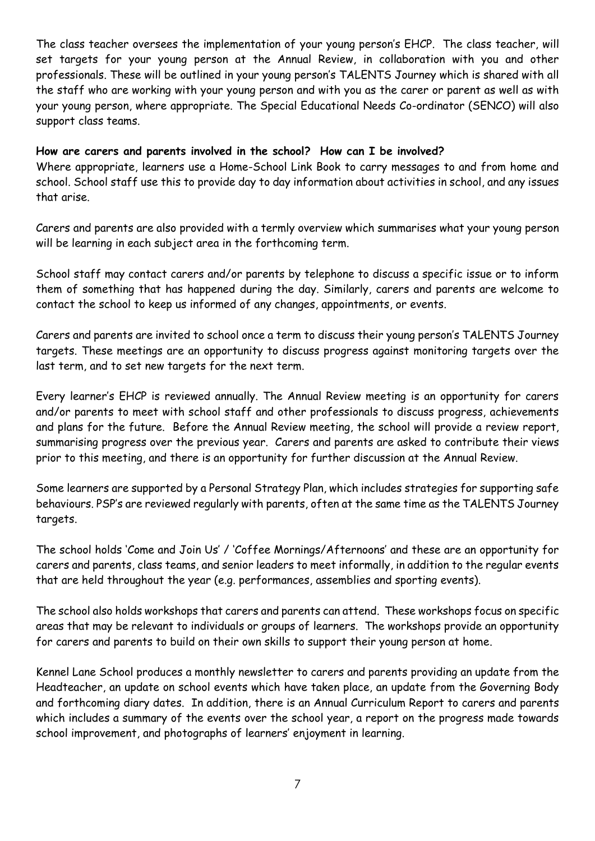The class teacher oversees the implementation of your young person's EHCP. The class teacher, will set targets for your young person at the Annual Review, in collaboration with you and other professionals. These will be outlined in your young person's TALENTS Journey which is shared with all the staff who are working with your young person and with you as the carer or parent as well as with your young person, where appropriate. The Special Educational Needs Co-ordinator (SENCO) will also support class teams.

## **How are carers and parents involved in the school? How can I be involved?**

Where appropriate, learners use a Home-School Link Book to carry messages to and from home and school. School staff use this to provide day to day information about activities in school, and any issues that arise.

Carers and parents are also provided with a termly overview which summarises what your young person will be learning in each subject area in the forthcoming term.

School staff may contact carers and/or parents by telephone to discuss a specific issue or to inform them of something that has happened during the day. Similarly, carers and parents are welcome to contact the school to keep us informed of any changes, appointments, or events.

Carers and parents are invited to school once a term to discuss their young person's TALENTS Journey targets. These meetings are an opportunity to discuss progress against monitoring targets over the last term, and to set new targets for the next term.

Every learner's EHCP is reviewed annually. The Annual Review meeting is an opportunity for carers and/or parents to meet with school staff and other professionals to discuss progress, achievements and plans for the future. Before the Annual Review meeting, the school will provide a review report, summarising progress over the previous year. Carers and parents are asked to contribute their views prior to this meeting, and there is an opportunity for further discussion at the Annual Review.

Some learners are supported by a Personal Strategy Plan, which includes strategies for supporting safe behaviours. PSP's are reviewed regularly with parents, often at the same time as the TALENTS Journey targets.

The school holds 'Come and Join Us' / 'Coffee Mornings/Afternoons' and these are an opportunity for carers and parents, class teams, and senior leaders to meet informally, in addition to the regular events that are held throughout the year (e.g. performances, assemblies and sporting events).

The school also holds workshops that carers and parents can attend. These workshops focus on specific areas that may be relevant to individuals or groups of learners. The workshops provide an opportunity for carers and parents to build on their own skills to support their young person at home.

Kennel Lane School produces a monthly newsletter to carers and parents providing an update from the Headteacher, an update on school events which have taken place, an update from the Governing Body and forthcoming diary dates. In addition, there is an Annual Curriculum Report to carers and parents which includes a summary of the events over the school year, a report on the progress made towards school improvement, and photographs of learners' enjoyment in learning.